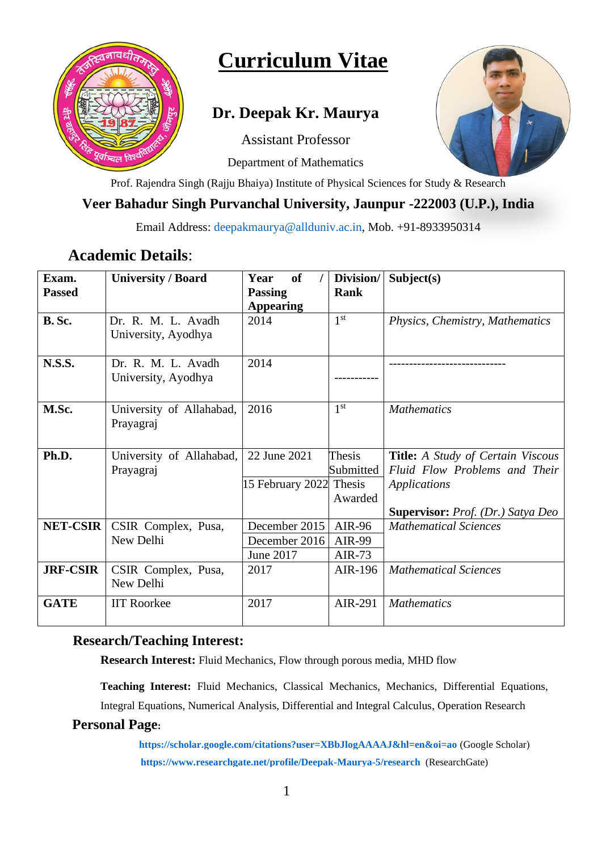

# **Curriculum Vitae**

# **Dr. Deepak Kr. Maurya**

Assistant Professor

Department of Mathematics



Prof. Rajendra Singh (Rajju Bhaiya) Institute of Physical Sciences for Study & Research

# **Veer Bahadur Singh Purvanchal University, Jaunpur -222003 (U.P.), India**

Email Address: [deepakmaurya@allduniv.ac.in,](mailto:deepakmaurya@allduniv.ac.in) Mob. +91-8933950314

# **Academic Details**:

| Exam.           | <b>University / Board</b> | <b>of</b><br>Year       | Division/       | Subject(s)                                      |
|-----------------|---------------------------|-------------------------|-----------------|-------------------------------------------------|
| <b>Passed</b>   |                           | <b>Passing</b>          | Rank            |                                                 |
|                 |                           | <b>Appearing</b>        |                 |                                                 |
| B. Sc.          | Dr. R. M. L. Avadh        | 2014                    | 1 <sup>st</sup> | Physics, Chemistry, Mathematics                 |
|                 | University, Ayodhya       |                         |                 |                                                 |
|                 |                           |                         |                 |                                                 |
| <b>N.S.S.</b>   | Dr. R. M. L. Avadh        | 2014                    |                 |                                                 |
|                 | University, Ayodhya       |                         |                 |                                                 |
|                 |                           |                         |                 |                                                 |
| M.Sc.           | University of Allahabad,  | 2016                    | 1 <sup>st</sup> | <b>Mathematics</b>                              |
|                 | Prayagraj                 |                         |                 |                                                 |
|                 |                           |                         |                 |                                                 |
| Ph.D.           | University of Allahabad,  | 22 June 2021            | Thesis          | <b>Title:</b> A Study of Certain Viscous        |
|                 | Prayagraj                 |                         | Submitted       | Fluid Flow Problems and Their                   |
|                 |                           | 15 February 2022 Thesis |                 | Applications                                    |
|                 |                           |                         | Awarded         |                                                 |
|                 |                           |                         |                 | <b>Supervisor:</b> <i>Prof.</i> (Dr.) Satya Deo |
| <b>NET-CSIR</b> | CSIR Complex, Pusa,       | December 2015           | AIR-96          | <b>Mathematical Sciences</b>                    |
|                 | New Delhi                 | December 2016           | AIR-99          |                                                 |
|                 |                           | June 2017               | AIR- $73$       |                                                 |
| <b>JRF-CSIR</b> | CSIR Complex, Pusa,       | 2017                    | AIR-196         | <b>Mathematical Sciences</b>                    |
|                 | New Delhi                 |                         |                 |                                                 |
| <b>GATE</b>     | <b>IIT Roorkee</b>        | 2017                    | AIR-291         | <b>Mathematics</b>                              |
|                 |                           |                         |                 |                                                 |

### **Research/Teaching Interest:**

**Research Interest:** Fluid Mechanics, Flow through porous media, MHD flow

**Teaching Interest:** Fluid Mechanics, Classical Mechanics, Mechanics, Differential Equations, Integral Equations, Numerical Analysis, Differential and Integral Calculus, Operation Research

#### **Personal Page:**

 **<https://scholar.google.com/citations?user=XBbJlogAAAAJ&hl=en&oi=ao>** (Google Scholar) **<https://www.researchgate.net/profile/Deepak-Maurya-5/research>** (ResearchGate)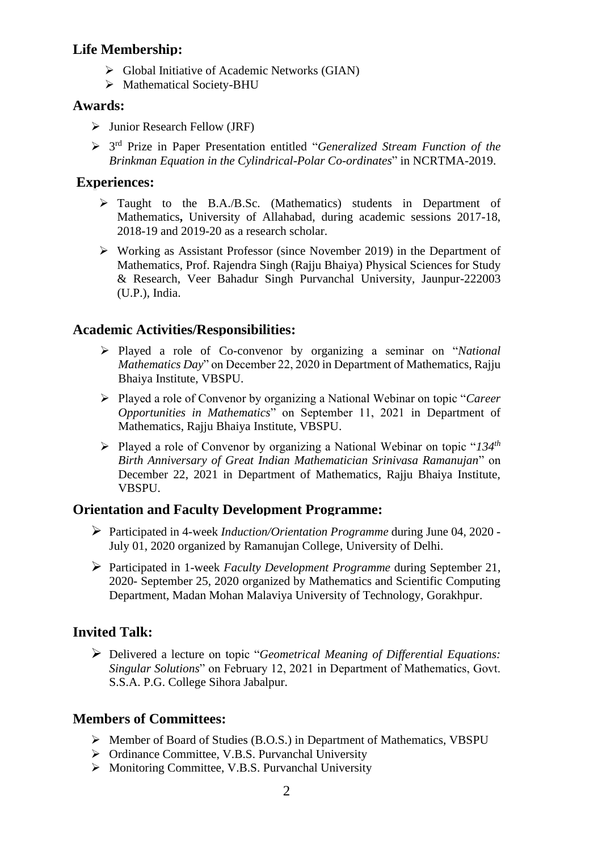#### **Life Membership:**

- ➢ Global Initiative of Academic Networks (GIAN)
- ➢ Mathematical Society-BHU

#### **Awards:**

- ➢ Junior Research Fellow (JRF)
- ➢ 3 rd Prize in Paper Presentation entitled "*Generalized Stream Function of the Brinkman Equation in the Cylindrical-Polar Co-ordinates*" in NCRTMA-2019.

### **Experiences:**

- ➢ Taught to the B.A./B.Sc. (Mathematics) students in Department of Mathematics**,** University of Allahabad, during academic sessions 2017-18, 2018-19 and 2019-20 as a research scholar.
- ➢ Working as Assistant Professor (since November 2019) in the Department of Mathematics, Prof. Rajendra Singh (Rajju Bhaiya) Physical Sciences for Study & Research, Veer Bahadur Singh Purvanchal University, Jaunpur-222003 (U.P.), India.

### **Academic Activities/Responsibilities:**

- ➢ Played a role of Co-convenor by organizing a seminar on "*National Mathematics Day*" on December 22, 2020 in Department of Mathematics, Rajju Bhaiya Institute, VBSPU.
- ➢ Played a role of Convenor by organizing a National Webinar on topic "*Career Opportunities in Mathematics*" on September 11, 2021 in Department of Mathematics, Rajju Bhaiya Institute, VBSPU.
- ➢ Played a role of Convenor by organizing a National Webinar on topic "*134 th Birth Anniversary of Great Indian Mathematician Srinivasa Ramanujan*" on December 22, 2021 in Department of Mathematics, Rajju Bhaiya Institute, VBSPU.

### **Orientation and Faculty Development Programme:**

- ➢ Participated in 4-week *Induction/Orientation Programme* during June 04, 2020 July 01, 2020 organized by Ramanujan College, University of Delhi.
- ➢ Participated in 1-week *Faculty Development Programme* during September 21, 2020- September 25, 2020 organized by Mathematics and Scientific Computing Department, Madan Mohan Malaviya University of Technology, Gorakhpur.

# **Invited Talk:**

➢ Delivered a lecture on topic "*Geometrical Meaning of Differential Equations: Singular Solutions*" on February 12, 2021 in Department of Mathematics, Govt. S.S.A. P.G. College Sihora Jabalpur.

# **Members of Committees:**

- ➢ Member of Board of Studies (B.O.S.) in Department of Mathematics, VBSPU
- ➢ Ordinance Committee, V.B.S. Purvanchal University
- ➢ Monitoring Committee, V.B.S. Purvanchal University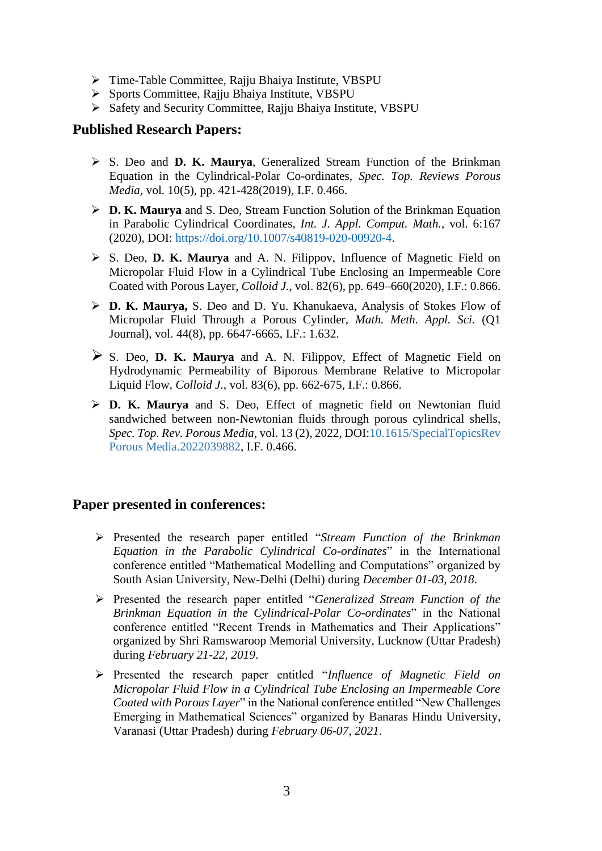- ➢ Time-Table Committee, Rajju Bhaiya Institute, VBSPU
- ➢ Sports Committee, Rajju Bhaiya Institute, VBSPU
- ➢ Safety and Security Committee, Rajju Bhaiya Institute, VBSPU

#### **Published Research Papers:**

- ➢ S. Deo and **D. K. Maurya**, Generalized Stream Function of the Brinkman Equation in the Cylindrical-Polar Co-ordinates, *Spec. Top. Reviews Porous Media*, vol. 10(5), pp. 421-428(2019), I.F. 0.466.
- ➢ **D. K. Maurya** and S. Deo, Stream Function Solution of the Brinkman Equation in Parabolic Cylindrical Coordinates*, Int. J. Appl. Comput. Math.*, vol. 6:167 (2020), DOI: [https://doi.org/10.1007/s40819-020-00920-4.](https://doi.org/10.1007/s40819-020-00920-4)
- ➢ S. Deo, **D. K. Maurya** and A. N. Filippov, Influence of Magnetic Field on Micropolar Fluid Flow in a Cylindrical Tube Enclosing an Impermeable Core Coated with Porous Layer, *Colloid J.*, vol. 82(6), pp. 649–660(2020), I.F.: 0.866.
- ➢ **D. K. Maurya,** S. Deo and D. Yu. Khanukaeva, Analysis of Stokes Flow of Micropolar Fluid Through a Porous Cylinder, *Math. Meth. Appl. Sci.* (Q1 Journal), vol. 44(8), pp. 6647-6665, I.F.: 1.632.
- ➢ S. Deo, **D. K. Maurya** and A. N. Filippov, Effect of Magnetic Field on Hydrodynamic Permeability of Biporous Membrane Relative to Micropolar Liquid Flow, *Colloid J.*, vol. 83(6), pp. 662-675, I.F.: 0.866.
- ➢ **D. K. Maurya** and S. Deo, Effect of magnetic field on Newtonian fluid sandwiched between non-Newtonian fluids through porous cylindrical shells, *Spec. Top. Rev. Porous Media*, vol. 13 (2), 2022, DOI:10.1615/SpecialTopicsRev Porous Media.2022039882, I.F. 0.466.

#### **Paper presented in conferences:**

- ➢ Presented the research paper entitled "*Stream Function of the Brinkman Equation in the Parabolic Cylindrical Co-ordinates*" in the International conference entitled "Mathematical Modelling and Computations" organized by South Asian University, New-Delhi (Delhi) during *December 01-03, 2018*.
- ➢ Presented the research paper entitled "*Generalized Stream Function of the Brinkman Equation in the Cylindrical-Polar Co-ordinates*" in the National conference entitled "Recent Trends in Mathematics and Their Applications" organized by Shri Ramswaroop Memorial University, Lucknow (Uttar Pradesh) during *February 21-22, 2019*.
- ➢ Presented the research paper entitled "*Influence of Magnetic Field on Micropolar Fluid Flow in a Cylindrical Tube Enclosing an Impermeable Core Coated with Porous Layer*" in the National conference entitled "New Challenges Emerging in Mathematical Sciences" organized by Banaras Hindu University, Varanasi (Uttar Pradesh) during *February 06-07, 2021*.